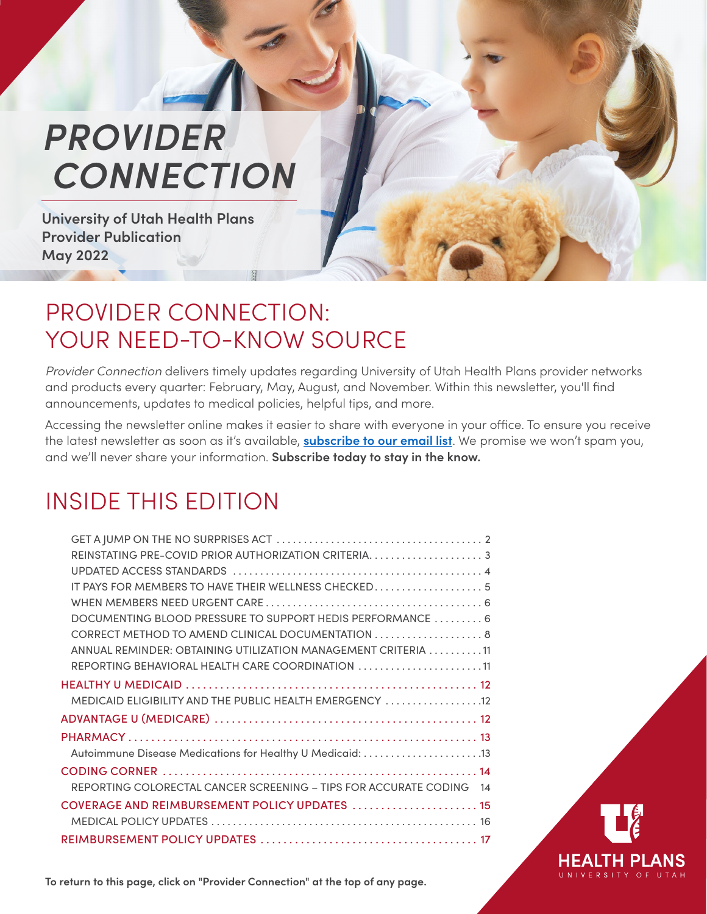# <span id="page-0-0"></span>*PROVIDER CONNECTION*

**University of Utah Health Plans Provider Publication May 2022**

## PROVIDER CONNECTION: YOUR NEED-TO-KNOW SOURCE

*Provider Connection* delivers timely updates regarding University of Utah Health Plans provider networks and products every quarter: February, May, August, and November. Within this newsletter, you'll find announcements, updates to medical policies, helpful tips, and more.

Accessing the newsletter online makes it easier to share with everyone in your office. To ensure you receive the latest newsletter as soon as it's available, **[subscribe to our email list](https://uhealthplan.utah.edu/providers/documents.php)**. We promise we won't spam you, and we'll never share your information. **Subscribe today to stay in the know.**

## INSIDE THIS EDITION

| REINSTATING PRE-COVID PRIOR AUTHORIZATION CRITERIA3                    |
|------------------------------------------------------------------------|
|                                                                        |
| IT PAYS FOR MEMBERS TO HAVE THEIR WELLNESS CHECKED 5                   |
|                                                                        |
| DOCUMENTING BLOOD PRESSURE TO SUPPORT HEDIS PERFORMANCE  6             |
| CORRECT METHOD TO AMEND CLINICAL DOCUMENTATION 8                       |
| ANNUAL REMINDER: OBTAINING UTILIZATION MANAGEMENT CRITERIA 11          |
| REPORTING BEHAVIORAL HEALTH CARE COORDINATION 11                       |
|                                                                        |
| MEDICAID ELIGIBILITY AND THE PUBLIC HEALTH EMERGENCY  12               |
|                                                                        |
|                                                                        |
| Autoimmune Disease Medications for Healthy U Medicaid: 13              |
|                                                                        |
| REPORTING COLORECTAL CANCER SCREENING - TIPS FOR ACCURATE CODING<br>14 |
| COVERAGE AND REIMBURSEMENT POLICY UPDATES  15                          |
|                                                                        |
|                                                                        |



**To return to this page, click on "Provider Connection" at the top of any page.**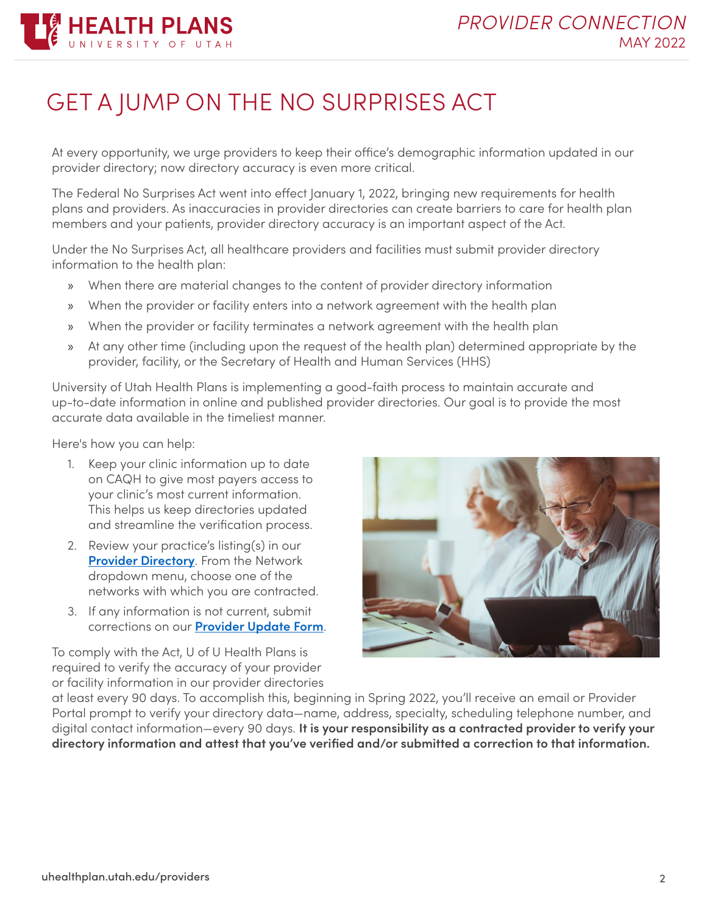

## <span id="page-1-0"></span>GET A JUMP ON THE NO SURPRISES ACT

At every opportunity, we urge providers to keep their office's demographic information updated in our provider directory; now directory accuracy is even more critical.

The Federal No Surprises Act went into effect January 1, 2022, bringing new requirements for health plans and providers. As inaccuracies in provider directories can create barriers to care for health plan members and your patients, provider directory accuracy is an important aspect of the Act.

Under the No Surprises Act, all healthcare providers and facilities must submit provider directory information to the health plan:

- » When there are material changes to the content of provider directory information
- » When the provider or facility enters into a network agreement with the health plan
- » When the provider or facility terminates a network agreement with the health plan
- » At any other time (including upon the request of the health plan) determined appropriate by the provider, facility, or the Secretary of Health and Human Services (HHS)

University of Utah Health Plans is implementing a good-faith process to maintain accurate and up-to-date information in online and published provider directories. Our goal is to provide the most accurate data available in the timeliest manner.

Here's how you can help:

- 1. Keep your clinic information up to date on CAQH to give most payers access to your clinic's most current information. This helps us keep directories updated and streamline the verification process.
- 2. Review your practice's listing(s) in our **[Provider Directory](https://uuhip.healthtrioconnect.com/public-app/consumer/provdir/entry.page)**. From the Network dropdown menu, choose one of the networks with which you are contracted.
- 3. If any information is not current, submit corrections on our **[Provider Update Form](https://uhealthplan.utah.edu/providers/contracting-relations.php#section4)**.

To comply with the Act, U of U Health Plans is required to verify the accuracy of your provider or facility information in our provider directories



at least every 90 days. To accomplish this, beginning in Spring 2022, you'll receive an email or Provider Portal prompt to verify your directory data—name, address, specialty, scheduling telephone number, and digital contact information—every 90 days. **It is your responsibility as a contracted provider to verify your directory information and attest that you've verified and/or submitted a correction to that information.**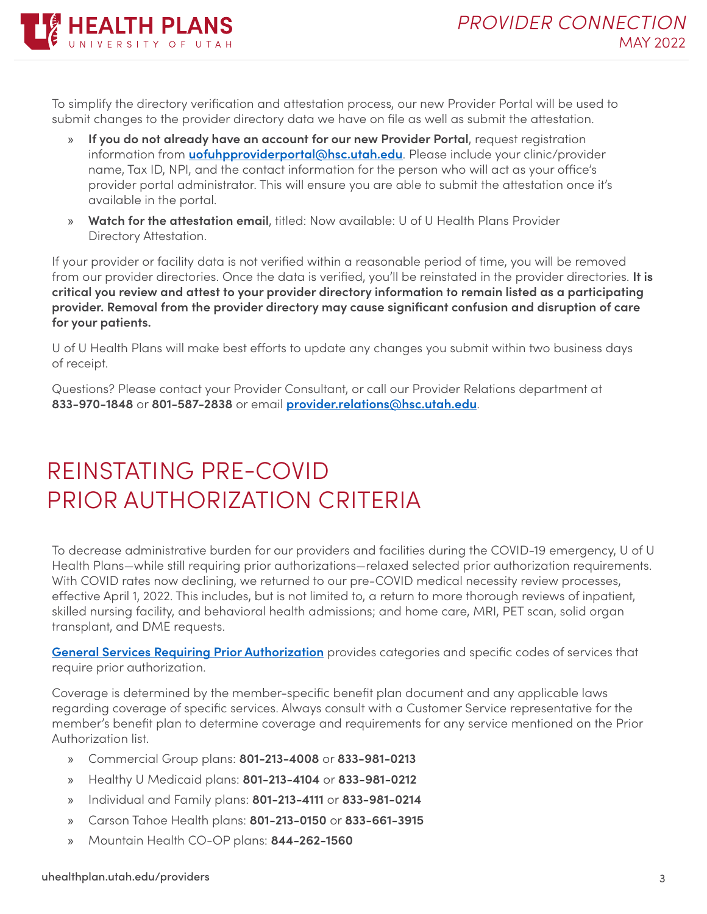

To simplify the directory verification and attestation process, our new Provider Portal will be used to submit changes to the provider directory data we have on file as well as submit the attestation.

- » **If you do not already have an account for our new Provider Portal**, request registration information from **[uofuhpproviderportal@hsc.utah.edu](mailto:uofuhpproviderportal%40hsc.utah.edu?subject=)**. Please include your clinic/provider name, Tax ID, NPI, and the contact information for the person who will act as your office's provider portal administrator. This will ensure you are able to submit the attestation once it's available in the portal.
- » **Watch for the attestation email**, titled: Now available: U of U Health Plans Provider Directory Attestation.

If your provider or facility data is not verified within a reasonable period of time, you will be removed from our provider directories. Once the data is verified, you'll be reinstated in the provider directories. **It is critical you review and attest to your provider directory information to remain listed as a participating provider. Removal from the provider directory may cause significant confusion and disruption of care for your patients.**

U of U Health Plans will make best efforts to update any changes you submit within two business days of receipt.

Questions? Please contact your Provider Consultant, or call our Provider Relations department at **833-970-1848** or **801-587-2838** or email **[provider.relations@hsc.utah.edu](mailto:provider.relations%40hsc.utah.edu?subject=)**.

## <span id="page-2-0"></span>REINSTATING PRE-COVID PRIOR AUTHORIZATION CRITERIA

To decrease administrative burden for our providers and facilities during the COVID-19 emergency, U of U Health Plans—while still requiring prior authorizations—relaxed selected prior authorization requirements. With COVID rates now declining, we returned to our pre-COVID medical necessity review processes, effective April 1, 2022. This includes, but is not limited to, a return to more thorough reviews of inpatient, skilled nursing facility, and behavioral health admissions; and home care, MRI, PET scan, solid organ transplant, and DME requests.

**[General Services Requiring Prior Authorization](https://uhealthplan.utah.edu/providers/prior-auth-codes.php?subject=)** provides categories and specific codes of services that require prior authorization.

Coverage is determined by the member-specific benefit plan document and any applicable laws regarding coverage of specific services. Always consult with a Customer Service representative for the member's benefit plan to determine coverage and requirements for any service mentioned on the Prior Authorization list.

- » Commercial Group plans: **801-213-4008** or **833-981-0213**
- » Healthy U Medicaid plans: **801-213-4104** or **833-981-0212**
- » Individual and Family plans: **801-213-4111** or **833-981-0214**
- » Carson Tahoe Health plans: **801-213-0150** or **833-661-3915**
- » Mountain Health CO-OP plans: **844-262-1560**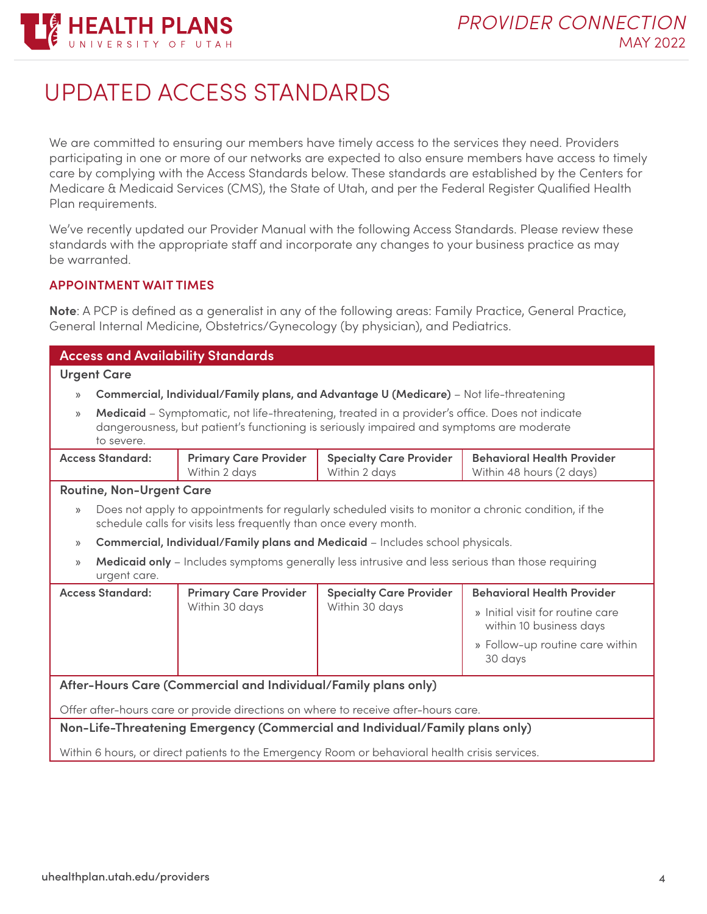

## <span id="page-3-0"></span>UPDATED ACCESS STANDARDS

We are committed to ensuring our members have timely access to the services they need. Providers participating in one or more of our networks are expected to also ensure members have access to timely care by complying with the Access Standards below. These standards are established by the Centers for Medicare & Medicaid Services (CMS), the State of Utah, and per the Federal Register Qualified Health Plan requirements.

We've recently updated our Provider Manual with the following Access Standards. Please review these standards with the appropriate staff and incorporate any changes to your business practice as may be warranted.

#### **APPOINTMENT WAIT TIMES**

**Note**: A PCP is defined as a generalist in any of the following areas: Family Practice, General Practice, General Internal Medicine, Obstetrics/Gynecology (by physician), and Pediatrics.

| <b>Access and Availability Standards</b>                                                       |                                                                                                                                                                                                           |                                                                  |                                                                                                      |                                                               |  |
|------------------------------------------------------------------------------------------------|-----------------------------------------------------------------------------------------------------------------------------------------------------------------------------------------------------------|------------------------------------------------------------------|------------------------------------------------------------------------------------------------------|---------------------------------------------------------------|--|
| <b>Urgent Care</b>                                                                             |                                                                                                                                                                                                           |                                                                  |                                                                                                      |                                                               |  |
| $\rangle$                                                                                      |                                                                                                                                                                                                           |                                                                  | Commercial, Individual/Family plans, and Advantage U (Medicare) - Not life-threatening               |                                                               |  |
| $\mathcal{Y}$                                                                                  | Medicaid - Symptomatic, not life-threatening, treated in a provider's office. Does not indicate<br>dangerousness, but patient's functioning is seriously impaired and symptoms are moderate<br>to severe. |                                                                  |                                                                                                      |                                                               |  |
|                                                                                                | <b>Access Standard:</b>                                                                                                                                                                                   | <b>Primary Care Provider</b><br>Within 2 days                    | <b>Specialty Care Provider</b><br>Within 2 days                                                      | <b>Behavioral Health Provider</b><br>Within 48 hours (2 days) |  |
|                                                                                                | <b>Routine, Non-Urgent Care</b>                                                                                                                                                                           |                                                                  |                                                                                                      |                                                               |  |
| $\mathcal{Y}$                                                                                  |                                                                                                                                                                                                           | schedule calls for visits less frequently than once every month. | Does not apply to appointments for regularly scheduled visits to monitor a chronic condition, if the |                                                               |  |
| $\rangle$                                                                                      |                                                                                                                                                                                                           |                                                                  | Commercial, Individual/Family plans and Medicaid - Includes school physicals.                        |                                                               |  |
| $\mathcal{Y}$                                                                                  | urgent care.                                                                                                                                                                                              |                                                                  | Medicaid only - Includes symptoms generally less intrusive and less serious than those requiring     |                                                               |  |
|                                                                                                | <b>Access Standard:</b>                                                                                                                                                                                   | <b>Primary Care Provider</b>                                     | <b>Specialty Care Provider</b>                                                                       | <b>Behavioral Health Provider</b>                             |  |
|                                                                                                |                                                                                                                                                                                                           | Within 30 days                                                   | Within 30 days                                                                                       | » Initial visit for routine care<br>within 10 business days   |  |
|                                                                                                |                                                                                                                                                                                                           |                                                                  |                                                                                                      | » Follow-up routine care within<br>30 days                    |  |
|                                                                                                |                                                                                                                                                                                                           | After-Hours Care (Commercial and Individual/Family plans only)   |                                                                                                      |                                                               |  |
| Offer after-hours care or provide directions on where to receive after-hours care.             |                                                                                                                                                                                                           |                                                                  |                                                                                                      |                                                               |  |
| Non-Life-Threatening Emergency (Commercial and Individual/Family plans only)                   |                                                                                                                                                                                                           |                                                                  |                                                                                                      |                                                               |  |
| Within 6 hours, or direct patients to the Emergency Room or behavioral health crisis services. |                                                                                                                                                                                                           |                                                                  |                                                                                                      |                                                               |  |
|                                                                                                |                                                                                                                                                                                                           |                                                                  |                                                                                                      |                                                               |  |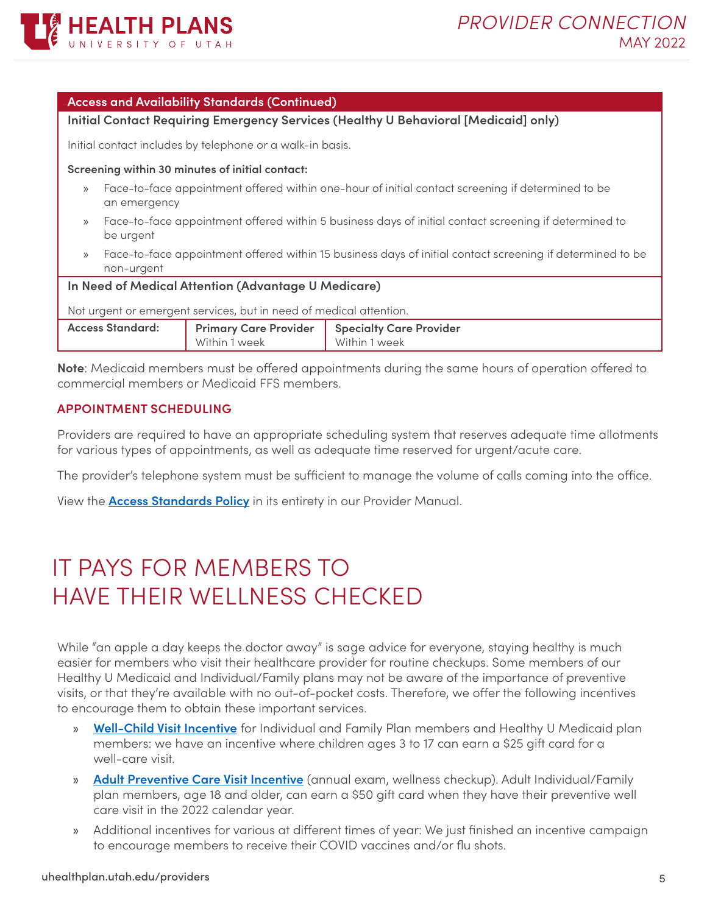

|       | <b>Access and Availability Standards (Continued)</b>                                                                                                                                                                              |  |  |  |
|-------|-----------------------------------------------------------------------------------------------------------------------------------------------------------------------------------------------------------------------------------|--|--|--|
|       | Initial Contact Requiring Emergency Services (Healthy U Behavioral [Medicaid] only)                                                                                                                                               |  |  |  |
|       | Initial contact includes by telephone or a walk-in basis.                                                                                                                                                                         |  |  |  |
|       | Screening within 30 minutes of initial contact:                                                                                                                                                                                   |  |  |  |
| >>    | Face-to-face appointment offered within one-hour of initial contact screening if determined to be<br>an emergency                                                                                                                 |  |  |  |
| $\gg$ | Face-to-face appointment offered within 5 business days of initial contact screening if determined to<br>be urgent                                                                                                                |  |  |  |
| $\gg$ | Face-to-face appointment offered within 15 business days of initial contact screening if determined to be<br>non-urgent                                                                                                           |  |  |  |
|       | In Need of Medical Attention (Advantage U Medicare)                                                                                                                                                                               |  |  |  |
|       | $\mathbf{M}$ . The contract of the contract of the contract of the contract of the contract of the contract of the contract of the contract of the contract of the contract of the contract of the contract of the contract of th |  |  |  |

Not urgent or emergent services, but in need of medical attention.

| <b>Access Standard:</b> | <b>Primary Care Provider   Specialty Care Provider</b> |               |
|-------------------------|--------------------------------------------------------|---------------|
|                         | Within 1 week                                          | Within 1 week |
|                         |                                                        |               |

**Note**: Medicaid members must be offered appointments during the same hours of operation offered to commercial members or Medicaid FFS members.

#### **APPOINTMENT SCHEDULING**

Providers are required to have an appropriate scheduling system that reserves adequate time allotments for various types of appointments, as well as adequate time reserved for urgent/acute care.

The provider's telephone system must be sufficient to manage the volume of calls coming into the office.

View the **[Access Standards Policy](https://uhealthplan.utah.edu/providers/provider-manual.php#bookmark2)** in its entirety in our Provider Manual.

## <span id="page-4-0"></span>IT PAYS FOR MEMBERS TO HAVE THEIR WELLNESS CHECKED

While "an apple a day keeps the doctor away" is sage advice for everyone, staying healthy is much easier for members who visit their healthcare provider for routine checkups. Some members of our Healthy U Medicaid and Individual/Family plans may not be aware of the importance of preventive visits, or that they're available with no out-of-pocket costs. Therefore, we offer the following incentives to encourage them to obtain these important services.

- » **[Well-Child Visit Incentive](https://uhealthplan.utah.edu/wellchild/)** for Individual and Family Plan members and Healthy U Medicaid plan members: we have an incentive where children ages 3 to 17 can earn a \$25 gift card for a well-care visit.
- » **[Adult Preventive Care Visit Incentive](https://uhealthplan.utah.edu/brokers/pdfs/2022/flu-shot-wellness-gift-card-incentive.pdf)** (annual exam, wellness checkup). Adult Individual/Family plan members, age 18 and older, can earn a \$50 gift card when they have their preventive well care visit in the 2022 calendar year.
- » Additional incentives for various at different times of year: We just finished an incentive campaign to encourage members to receive their COVID vaccines and/or flu shots.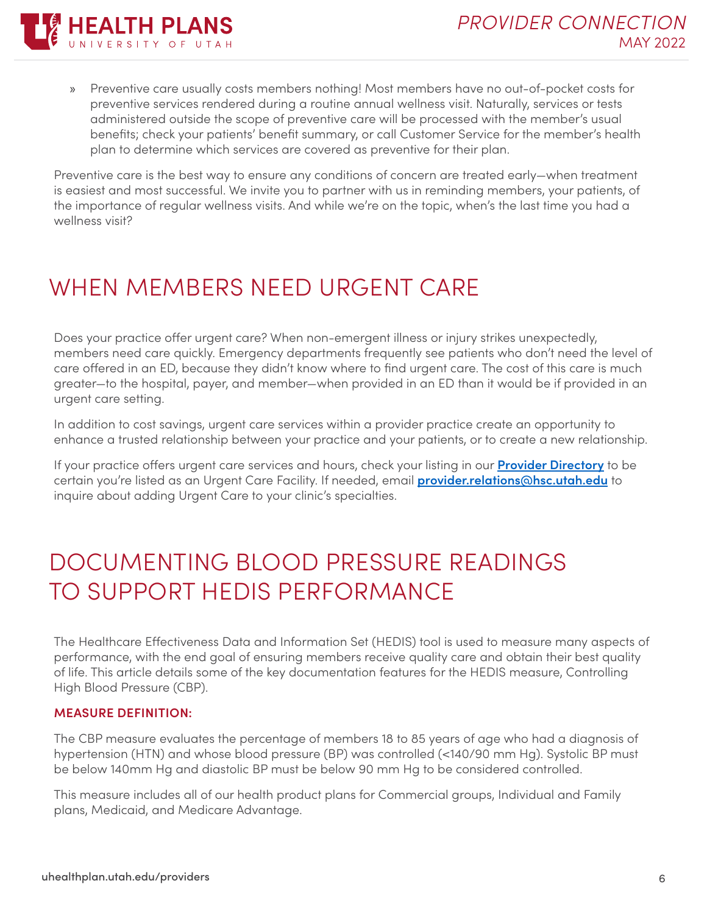

» Preventive care usually costs members nothing! Most members have no out-of-pocket costs for preventive services rendered during a routine annual wellness visit. Naturally, services or tests administered outside the scope of preventive care will be processed with the member's usual benefits; check your patients' benefit summary, or call Customer Service for the member's health plan to determine which services are covered as preventive for their plan.

Preventive care is the best way to ensure any conditions of concern are treated early—when treatment is easiest and most successful. We invite you to partner with us in reminding members, your patients, of the importance of regular wellness visits. And while we're on the topic, when's the last time you had a wellness visit?

## <span id="page-5-0"></span>WHEN MEMBERS NEED URGENT CARE

Does your practice offer urgent care? When non-emergent illness or injury strikes unexpectedly, members need care quickly. Emergency departments frequently see patients who don't need the level of care offered in an ED, because they didn't know where to find urgent care. The cost of this care is much greater—to the hospital, payer, and member—when provided in an ED than it would be if provided in an urgent care setting.

In addition to cost savings, urgent care services within a provider practice create an opportunity to enhance a trusted relationship between your practice and your patients, or to create a new relationship.

If your practice offers urgent care services and hours, check your listing in our **[Provider Directory](https://uuhip.healthtrioconnect.com/public-app/consumer/provdir/entry.page)** to be certain you're listed as an Urgent Care Facility. If needed, email **[provider.relations@hsc.utah.edu](mailto:provider.relations%40hsc.utah.edu?subject=)** to inquire about adding Urgent Care to your clinic's specialties.

## <span id="page-5-1"></span>DOCUMENTING BLOOD PRESSURE READINGS TO SUPPORT HEDIS PERFORMANCE

The Healthcare Effectiveness Data and Information Set (HEDIS) tool is used to measure many aspects of performance, with the end goal of ensuring members receive quality care and obtain their best quality of life. This article details some of the key documentation features for the HEDIS measure, Controlling High Blood Pressure (CBP).

#### **MEASURE DEFINITION:**

The CBP measure evaluates the percentage of members 18 to 85 years of age who had a diagnosis of hypertension (HTN) and whose blood pressure (BP) was controlled (<140/90 mm Hg). Systolic BP must be below 140mm Hg and diastolic BP must be below 90 mm Hg to be considered controlled.

This measure includes all of our health product plans for Commercial groups, Individual and Family plans, Medicaid, and Medicare Advantage.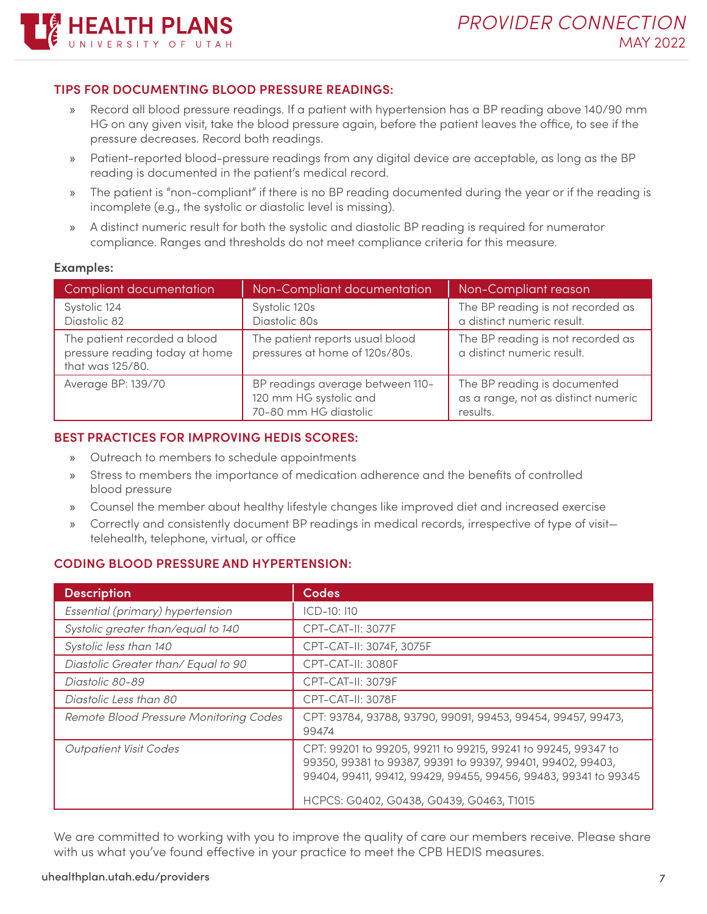#### **TIPS FOR DOCUMENTING BLOOD PRESSURE READINGS:**

HEALTH PLANS

- » Record all blood pressure readings. If a patient with hypertension has a BP reading above 140/90 mm HG on any given visit, take the blood pressure again, before the patient leaves the office, to see if the pressure decreases. Record both readings.
- » Patient-reported blood-pressure readings from any digital device are acceptable, as long as the BP reading is documented in the patient's medical record.
- » The patient is "non-compliant" if there is no BP reading documented during the year or if the reading is incomplete (e.g., the systolic or diastolic level is missing).
- » A distinct numeric result for both the systolic and diastolic BP reading is required for numerator compliance. Ranges and thresholds do not meet compliance criteria for this measure.

#### **Examples:**

| Compliant documentation                                                            | Non-Compliant documentation                                                         | Non-Compliant reason                                                            |
|------------------------------------------------------------------------------------|-------------------------------------------------------------------------------------|---------------------------------------------------------------------------------|
| Systolic 124<br>Diastolic 82                                                       | Systolic 120s<br>Diastolic 80s                                                      | The BP reading is not recorded as<br>a distinct numeric result.                 |
| The patient recorded a blood<br>pressure reading today at home<br>that was 125/80. | The patient reports usual blood<br>pressures at home of 120s/80s.                   | The BP reading is not recorded as<br>a distinct numeric result.                 |
| Average BP: 139/70                                                                 | BP readings average between 110-<br>120 mm HG systolic and<br>70-80 mm HG diastolic | The BP reading is documented<br>as a range, not as distinct numeric<br>results. |

#### **BEST PRACTICES FOR IMPROVING HEDIS SCORES:**

- » Outreach to members to schedule appointments
- » Stress to members the importance of medication adherence and the benefits of controlled blood pressure
- » Counsel the member about healthy lifestyle changes like improved diet and increased exercise
- » Correctly and consistently document BP readings in medical records, irrespective of type of visit telehealth, telephone, virtual, or office

#### **CODING BLOOD PRESSURE AND HYPERTENSION:**

| Codes                                                                                                                                                                                                                                       |
|---------------------------------------------------------------------------------------------------------------------------------------------------------------------------------------------------------------------------------------------|
| $ICD-10:110$                                                                                                                                                                                                                                |
| CPT-CAT-II: 3077F                                                                                                                                                                                                                           |
| CPT-CAT-II: 3074F, 3075F                                                                                                                                                                                                                    |
| CPT-CAT-II: 3080F                                                                                                                                                                                                                           |
| CPT-CAT-II: 3079F                                                                                                                                                                                                                           |
| CPT-CAT-II: 3078F                                                                                                                                                                                                                           |
| CPT: 93784, 93788, 93790, 99091, 99453, 99454, 99457, 99473,<br>99474                                                                                                                                                                       |
| CPT: 99201 to 99205, 99211 to 99215, 99241 to 99245, 99347 to<br>99350, 99381 to 99387, 99391 to 99397, 99401, 99402, 99403,<br>99404, 99411, 99412, 99429, 99455, 99456, 99483, 99341 to 99345<br>HCPCS: G0402, G0438, G0439, G0463, T1015 |
|                                                                                                                                                                                                                                             |

We are committed to working with you to improve the quality of care our members receive. Please share with us what you've found effective in your practice to meet the CPB HEDIS measures.

#### uhealthplan.utah.edu/providers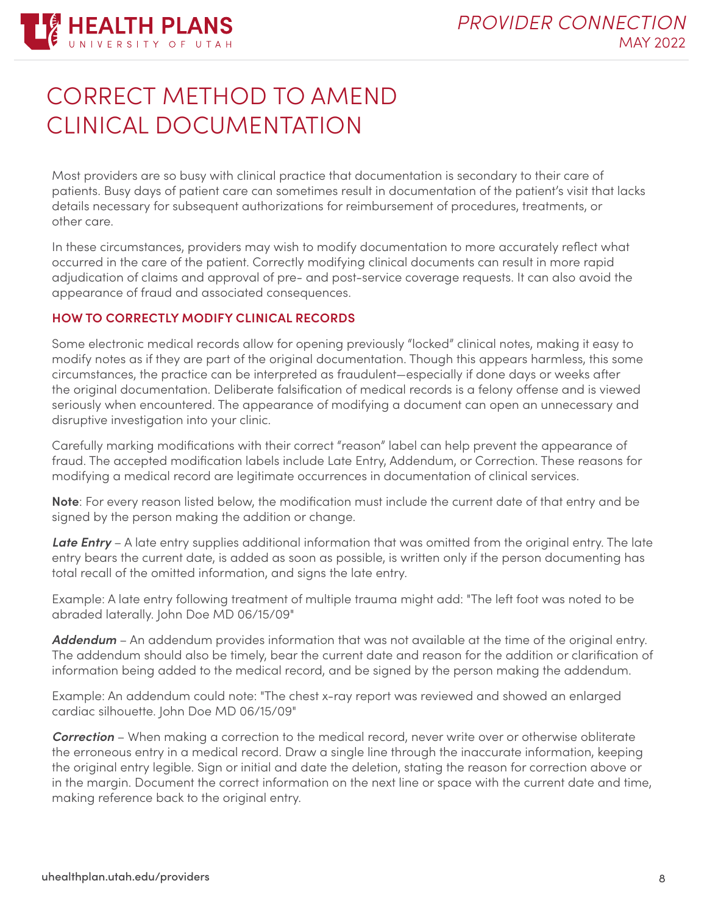

## <span id="page-7-0"></span>CORRECT METHOD TO AMEND CLINICAL DOCUMENTATION

Most providers are so busy with clinical practice that documentation is secondary to their care of patients. Busy days of patient care can sometimes result in documentation of the patient's visit that lacks details necessary for subsequent authorizations for reimbursement of procedures, treatments, or other care.

In these circumstances, providers may wish to modify documentation to more accurately reflect what occurred in the care of the patient. Correctly modifying clinical documents can result in more rapid adjudication of claims and approval of pre- and post-service coverage requests. It can also avoid the appearance of fraud and associated consequences.

#### **HOW TO CORRECTLY MODIFY CLINICAL RECORDS**

Some electronic medical records allow for opening previously "locked" clinical notes, making it easy to modify notes as if they are part of the original documentation. Though this appears harmless, this some circumstances, the practice can be interpreted as fraudulent—especially if done days or weeks after the original documentation. Deliberate falsification of medical records is a felony offense and is viewed seriously when encountered. The appearance of modifying a document can open an unnecessary and disruptive investigation into your clinic.

Carefully marking modifications with their correct "reason" label can help prevent the appearance of fraud. The accepted modification labels include Late Entry, Addendum, or Correction. These reasons for modifying a medical record are legitimate occurrences in documentation of clinical services.

**Note**: For every reason listed below, the modification must include the current date of that entry and be signed by the person making the addition or change.

*Late Entry* – A late entry supplies additional information that was omitted from the original entry. The late entry bears the current date, is added as soon as possible, is written only if the person documenting has total recall of the omitted information, and signs the late entry.

Example: A late entry following treatment of multiple trauma might add: "The left foot was noted to be abraded laterally. John Doe MD 06/15/09"

*Addendum* – An addendum provides information that was not available at the time of the original entry. The addendum should also be timely, bear the current date and reason for the addition or clarification of information being added to the medical record, and be signed by the person making the addendum.

Example: An addendum could note: "The chest x-ray report was reviewed and showed an enlarged cardiac silhouette. John Doe MD 06/15/09"

*Correction* – When making a correction to the medical record, never write over or otherwise obliterate the erroneous entry in a medical record. Draw a single line through the inaccurate information, keeping the original entry legible. Sign or initial and date the deletion, stating the reason for correction above or in the margin. Document the correct information on the next line or space with the current date and time, making reference back to the original entry.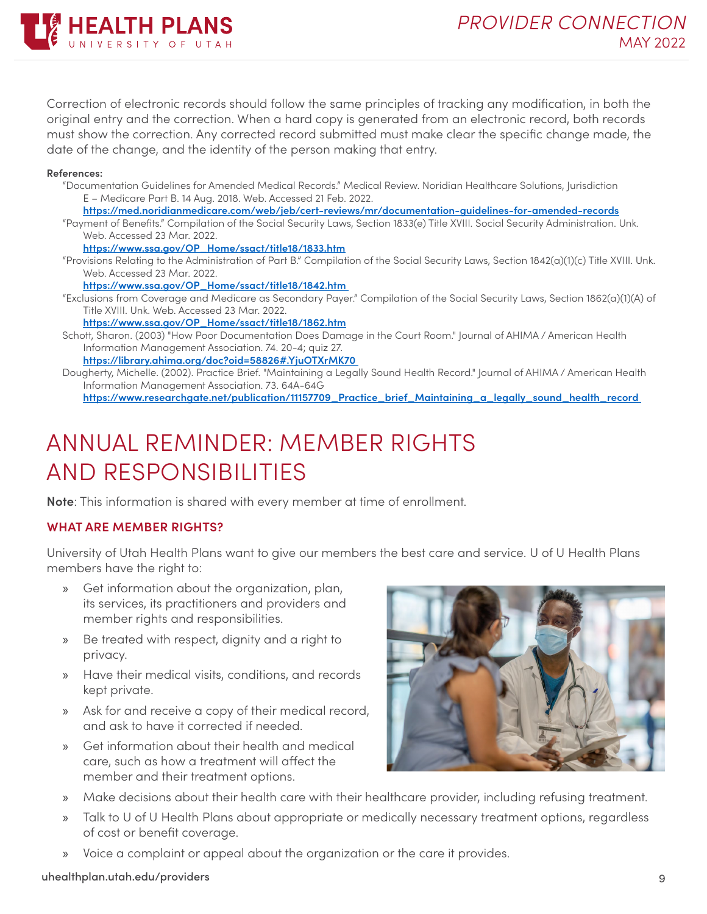

Correction of electronic records should follow the same principles of tracking any modification, in both the original entry and the correction. When a hard copy is generated from an electronic record, both records must show the correction. Any corrected record submitted must make clear the specific change made, the date of the change, and the identity of the person making that entry.

#### **References:**

- "Documentation Guidelines for Amended Medical Records." Medical Review. Noridian Healthcare Solutions, Jurisdiction E – Medicare Part B. 14 Aug. 2018. Web. Accessed 21 Feb. 2022.
	- **<https://med.noridianmedicare.com/web/jeb/cert-reviews/mr/documentation-guidelines-for-amended-records>**
- "Payment of Benefits." Compilation of the Social Security Laws, Section 1833(e) Title XVIII. Social Security Administration. Unk. Web. Accessed 23 Mar. 2022.

**[https://www.ssa.gov/OP\\_Home/ssact/title18/1833.htm](https://www.ssa.gov/OP_Home/ssact/title18/1833.htm)**

"Provisions Relating to the Administration of Part B." Compilation of the Social Security Laws, Section 1842(a)(1)(c) Title XVIII. Unk. Web. Accessed 23 Mar. 2022.

**[https://www.ssa.gov/OP\\_Home/ssact/title18/1842.htm](https://www.ssa.gov/OP_Home/ssact/title18/1842.htm)** 

"Exclusions from Coverage and Medicare as Secondary Payer." Compilation of the Social Security Laws, Section 1862(a)(1)(A) of Title XVIII. Unk. Web. Accessed 23 Mar. 2022.

**[https://www.ssa.gov/OP\\_Home/ssact/title18/1862.htm](https://www.ssa.gov/OP_Home/ssact/title18/1862.htm)**

Schott, Sharon. (2003) "How Poor Documentation Does Damage in the Court Room." Journal of AHIMA / American Health Information Management Association. 74. 20-4; quiz 27.

**<https://library.ahima.org/doc?oid=58826#.YjuOTXrMK70>**

Dougherty, Michelle. (2002). Practice Brief. "Maintaining a Legally Sound Health Record." Journal of AHIMA / American Health Information Management Association. 73. 64A-64G

**[https://www.researchgate.net/publication/11157709\\_Practice\\_brief\\_Maintaining\\_a\\_legally\\_sound\\_health\\_record](https://www.researchgate.net/publication/11157709_Practice_brief_Maintaining_a_legally_sound_health_record)** 

### ANNUAL REMINDER: MEMBER RIGHTS AND RESPONSIBILITIES

**Note**: This information is shared with every member at time of enrollment.

#### **WHAT ARE MEMBER RIGHTS?**

University of Utah Health Plans want to give our members the best care and service. U of U Health Plans members have the right to:

- » Get information about the organization, plan, its services, its practitioners and providers and member rights and responsibilities.
- » Be treated with respect, dignity and a right to privacy.
- » Have their medical visits, conditions, and records kept private.
- » Ask for and receive a copy of their medical record, and ask to have it corrected if needed.
- » Get information about their health and medical care, such as how a treatment will affect the member and their treatment options.



- » Make decisions about their health care with their healthcare provider, including refusing treatment.
- » Talk to U of U Health Plans about appropriate or medically necessary treatment options, regardless of cost or benefit coverage.
- » Voice a complaint or appeal about the organization or the care it provides.

#### uhealthplan.utah.edu/providers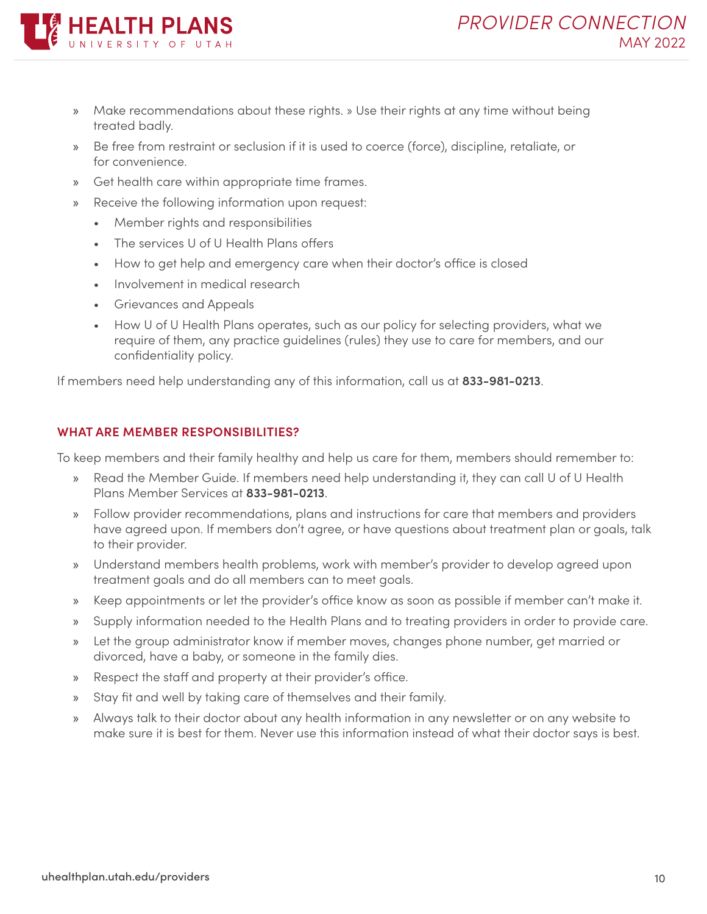

- » Make recommendations about these rights. » Use their rights at any time without being treated badly.
- » Be free from restraint or seclusion if it is used to coerce (force), discipline, retaliate, or for convenience.
- » Get health care within appropriate time frames.
- » Receive the following information upon request:
	- Member rights and responsibilities
	- The services U of U Health Plans offers
	- How to get help and emergency care when their doctor's office is closed
	- Involvement in medical research
	- Grievances and Appeals
	- How U of U Health Plans operates, such as our policy for selecting providers, what we require of them, any practice guidelines (rules) they use to care for members, and our confidentiality policy.

If members need help understanding any of this information, call us at **833-981-0213**.

#### **WHAT ARE MEMBER RESPONSIBILITIES?**

To keep members and their family healthy and help us care for them, members should remember to:

- » Read the Member Guide. If members need help understanding it, they can call U of U Health Plans Member Services at **833-981-0213**.
- Follow provider recommendations, plans and instructions for care that members and providers have agreed upon. If members don't agree, or have questions about treatment plan or goals, talk to their provider.
- » Understand members health problems, work with member's provider to develop agreed upon treatment goals and do all members can to meet goals.
- » Keep appointments or let the provider's office know as soon as possible if member can't make it.
- » Supply information needed to the Health Plans and to treating providers in order to provide care.
- » Let the group administrator know if member moves, changes phone number, get married or divorced, have a baby, or someone in the family dies.
- » Respect the staff and property at their provider's office.
- » Stay fit and well by taking care of themselves and their family.
- » Always talk to their doctor about any health information in any newsletter or on any website to make sure it is best for them. Never use this information instead of what their doctor says is best.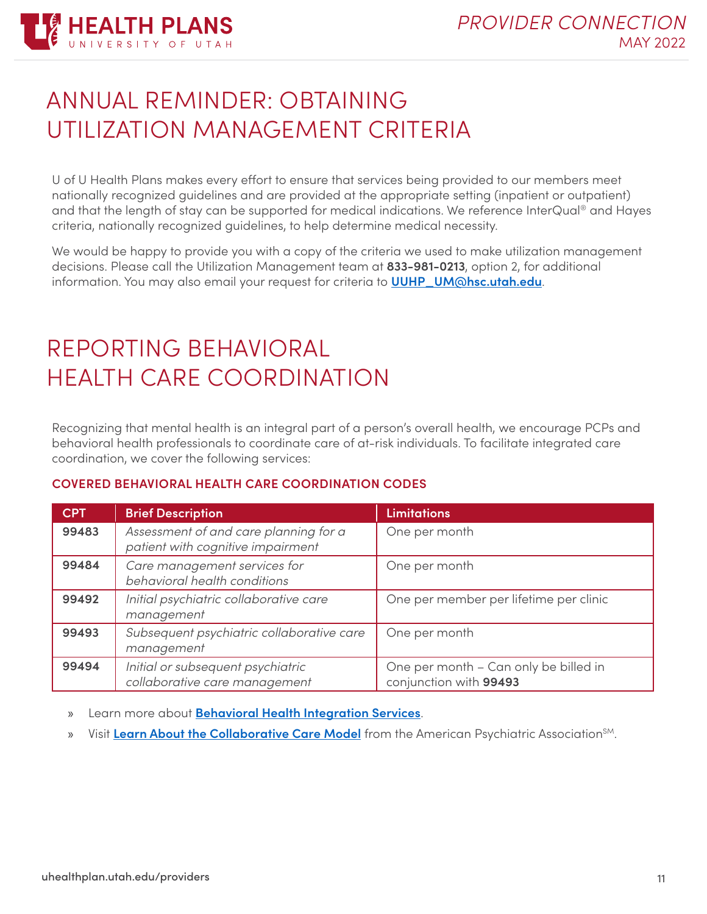

### <span id="page-10-0"></span>ANNUAL REMINDER: OBTAINING UTILIZATION MANAGEMENT CRITERIA

U of U Health Plans makes every effort to ensure that services being provided to our members meet nationally recognized guidelines and are provided at the appropriate setting (inpatient or outpatient) and that the length of stay can be supported for medical indications. We reference InterQual® and Hayes criteria, nationally recognized guidelines, to help determine medical necessity.

We would be happy to provide you with a copy of the criteria we used to make utilization management decisions. Please call the Utilization Management team at **833-981-0213**, option 2, for additional information. You may also email your request for criteria to **[UUHP\\_UM@hsc.utah.edu](mailto:UUHP_UM%40hsc.utah.edu?subject=)**.

## <span id="page-10-1"></span>REPORTING BEHAVIORAL HEALTH CARE COORDINATION

Recognizing that mental health is an integral part of a person's overall health, we encourage PCPs and behavioral health professionals to coordinate care of at-risk individuals. To facilitate integrated care coordination, we cover the following services:

#### **COVERED BEHAVIORAL HEALTH CARE COORDINATION CODES**

| <b>CPT</b> | <b>Brief Description</b>                                                   | <b>Limitations</b>                                              |
|------------|----------------------------------------------------------------------------|-----------------------------------------------------------------|
| 99483      | Assessment of and care planning for a<br>patient with cognitive impairment | One per month                                                   |
| 99484      | Care management services for<br>behavioral health conditions               | One per month                                                   |
| 99492      | Initial psychiatric collaborative care<br>management                       | One per member per lifetime per clinic                          |
| 99493      | Subsequent psychiatric collaborative care<br>management                    | One per month                                                   |
| 99494      | Initial or subsequent psychiatric<br>collaborative care management         | One per month - Can only be billed in<br>conjunction with 99493 |

» Learn more about **[Behavioral Health Integration Services](https://www.cms.gov/Outreach-and-Education/Medicare-Learning-Network-MLN/MLNProducts/Downloads/BehavioralHealthIntegration.pdf)**.

» Visit [Learn About the Collaborative Care Model](https://www.psychiatry.org/psychiatrists/practice/professional-interests/integrated-care/learn) from the American Psychiatric Association<sup>SM</sup>.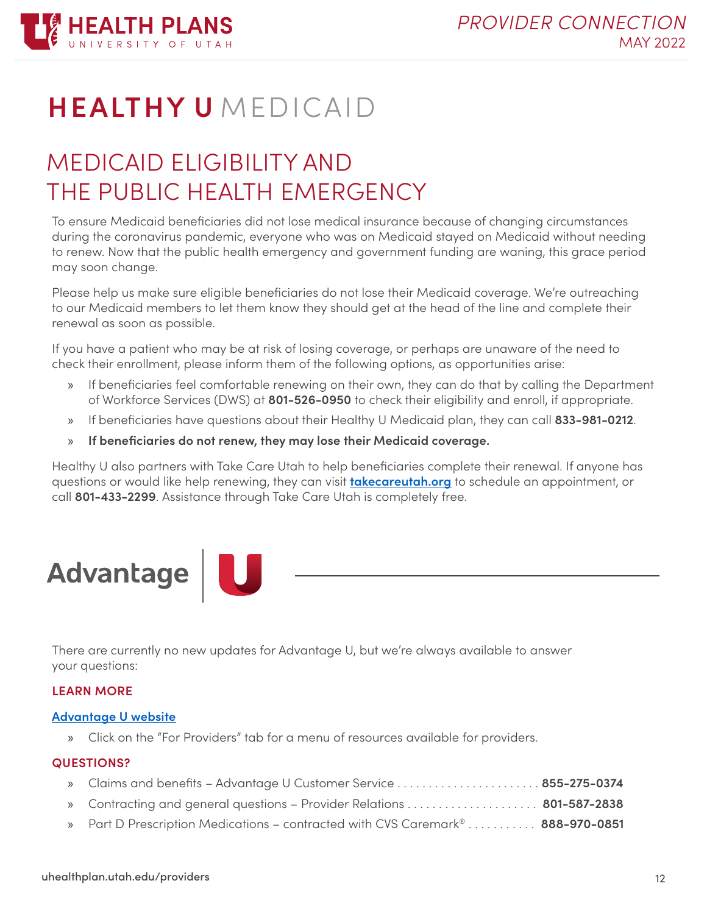

## **HEALTHY U** MEDICAID

## <span id="page-11-0"></span>MEDICAID ELIGIBILITY AND THE PUBLIC HEALTH EMERGENCY

To ensure Medicaid beneficiaries did not lose medical insurance because of changing circumstances during the coronavirus pandemic, everyone who was on Medicaid stayed on Medicaid without needing to renew. Now that the public health emergency and government funding are waning, this grace period may soon change.

Please help us make sure eligible beneficiaries do not lose their Medicaid coverage. We're outreaching to our Medicaid members to let them know they should get at the head of the line and complete their renewal as soon as possible.

If you have a patient who may be at risk of losing coverage, or perhaps are unaware of the need to check their enrollment, please inform them of the following options, as opportunities arise:

- » If beneficiaries feel comfortable renewing on their own, they can do that by calling the Department of Workforce Services (DWS) at **801-526-0950** to check their eligibility and enroll, if appropriate.
- » If beneficiaries have questions about their Healthy U Medicaid plan, they can call **833-981-0212**.
- » **If beneficiaries do not renew, they may lose their Medicaid coverage.**

Healthy U also partners with Take Care Utah to help beneficiaries complete their renewal. If anyone has questions or would like help renewing, they can visit **[takecareutah.org](http://www.takecareutah.org/)** to schedule an appointment, or call **801-433-2299**. Assistance through Take Care Utah is completely free.



<span id="page-11-1"></span>There are currently no new updates for Advantage U, but we're always available to answer your questions:

#### **LEARN MORE**

#### **[Advantage U website](https://advantageumedicare.com/)**

» Click on the "For Providers" tab for a menu of resources available for providers.

#### **QUESTIONS?**

| 801-587-2838 Contracting and general questions - Provider Relations 801-587-2838 |  |
|----------------------------------------------------------------------------------|--|
| » Part D Prescription Medications – contracted with CVS Caremark® 888-970-0851   |  |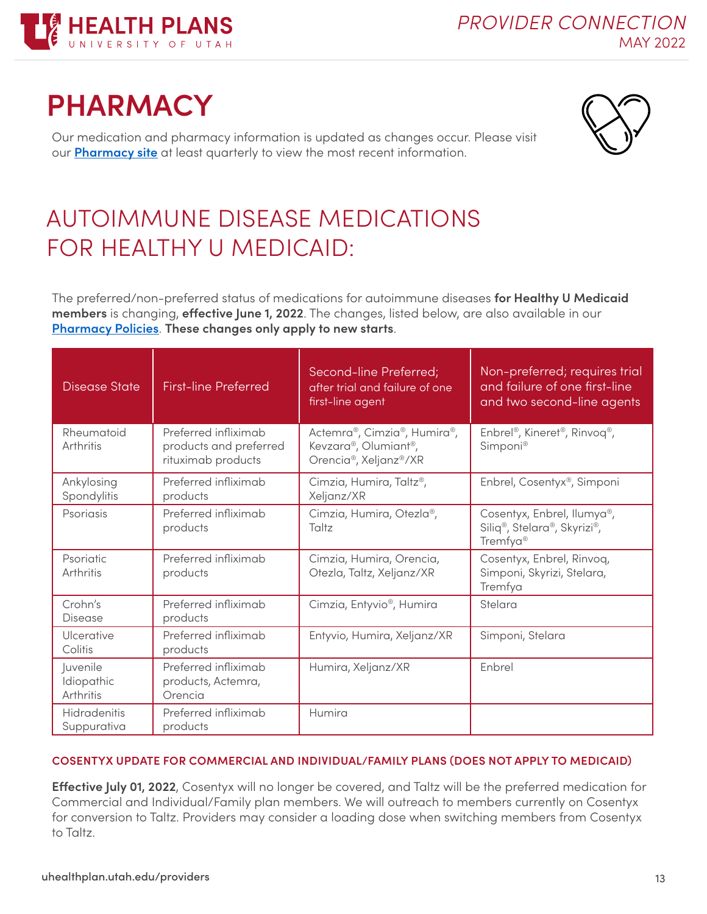

## <span id="page-12-0"></span>**PHARMACY**

Our medication and pharmacy information is updated as changes occur. Please visit our **[Pharmacy site](https://uhealthplan.utah.edu/individual/pharmacy.php)** at least quarterly to view the most recent information.



## <span id="page-12-1"></span>AUTOIMMUNE DISEASE MEDICATIONS FOR HEALTHY U MEDICAID:

The preferred/non-preferred status of medications for autoimmune diseases **for Healthy U Medicaid members** is changing, **effective June 1, 2022**. The changes, listed below, are also available in our **[Pharmacy Policies](https://uhealthplan.utah.edu/medicalpolicy/pharmacy-filtered.php)**. **These changes only apply to new starts**.

| <b>Disease State</b>                | <b>First-line Preferred</b>                                          | Second-line Preferred;<br>after trial and failure of one<br>first-line agent                           | Non-preferred; requires trial<br>and failure of one first-line<br>and two second-line agents   |
|-------------------------------------|----------------------------------------------------------------------|--------------------------------------------------------------------------------------------------------|------------------------------------------------------------------------------------------------|
| Rheumatoid<br>Arthritis             | Preferred infliximab<br>products and preferred<br>rituximab products | Actemra®, Cimzia®, Humira®,<br>Kevzara®, Olumiant®,<br>Orencia <sup>®</sup> , Xeljanz <sup>®</sup> /XR | Enbrel <sup>®</sup> , Kineret <sup>®</sup> , Rinvoq <sup>®</sup> ,<br>Simponi <sup>®</sup>     |
| Ankylosing<br>Spondylitis           | Preferred infliximab<br>products                                     | Cimzia, Humira, Taltz <sup>®</sup> ,<br>Xeljanz/XR                                                     | Enbrel, Cosentyx®, Simponi                                                                     |
| Psoriasis                           | Preferred infliximab<br>products                                     | Cimzia, Humira, Otezla®,<br>Taltz                                                                      | Cosentyx, Enbrel, Ilumya <sup>®</sup> ,<br>Siliq®, Stelara®, Skyrizi®,<br>Tremfya <sup>®</sup> |
| Psoriatic<br>Arthritis              | Preferred infliximab<br>products                                     | Cimzia, Humira, Orencia,<br>Otezla, Taltz, Xeljanz/XR                                                  | Cosentyx, Enbrel, Rinvoq,<br>Simponi, Skyrizi, Stelara,<br>Tremfya                             |
| Crohn's<br>Disease                  | Preferred infliximab<br>products                                     | Cimzia, Entyvio <sup>®</sup> , Humira                                                                  | Stelara                                                                                        |
| Ulcerative<br>Colitis               | Preferred infliximab<br>products                                     | Entyvio, Humira, Xeljanz/XR                                                                            | Simponi, Stelara                                                                               |
| Juvenile<br>Idiopathic<br>Arthritis | Preferred infliximab<br>products, Actemra,<br>Orencia                | Humira, Xeljanz/XR                                                                                     | Enbrel                                                                                         |
| Hidradenitis<br>Suppurativa         | Preferred infliximab<br>products                                     | Humira                                                                                                 |                                                                                                |

#### **COSENTYX UPDATE FOR COMMERCIAL AND INDIVIDUAL/FAMILY PLANS (DOES NOT APPLY TO MEDICAID)**

**Effective July 01, 2022**, Cosentyx will no longer be covered, and Taltz will be the preferred medication for Commercial and Individual/Family plan members. We will outreach to members currently on Cosentyx for conversion to Taltz. Providers may consider a loading dose when switching members from Cosentyx to Taltz.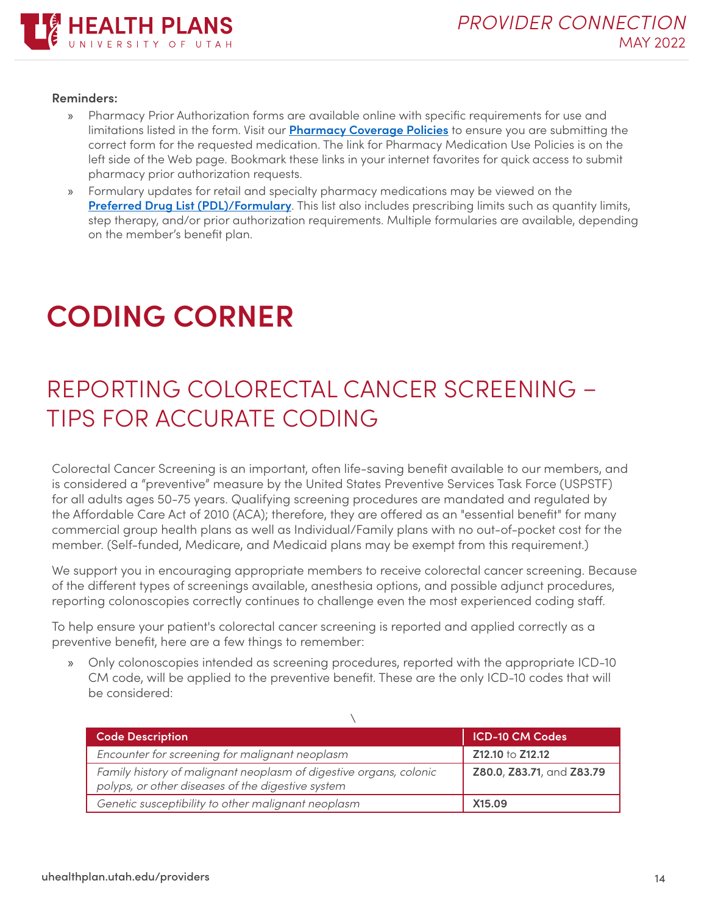

#### **Reminders:**

- » Pharmacy Prior Authorization forms are available online with specific requirements for use and limitations listed in the form. Visit our **[Pharmacy Coverage Policies](https://uhealthplan.utah.edu/medicalpolicy/pharmacy-filtered.php)** to ensure you are submitting the correct form for the requested medication. The link for Pharmacy Medication Use Policies is on the left side of the Web page. Bookmark these links in your internet favorites for quick access to submit pharmacy prior authorization requests.
- » Formulary updates for retail and specialty pharmacy medications may be viewed on the **[Preferred Drug List \(PDL\)/Formulary](https://uhealthplan.utah.edu/pharmacy/)**. This list also includes prescribing limits such as quantity limits, step therapy, and/or prior authorization requirements. Multiple formularies are available, depending on the member's benefit plan.

## <span id="page-13-0"></span>**CODING CORNER**

## <span id="page-13-1"></span>REPORTING COLORECTAL CANCER SCREENING – TIPS FOR ACCURATE CODING

Colorectal Cancer Screening is an important, often life-saving benefit available to our members, and is considered a "preventive" measure by the United States Preventive Services Task Force (USPSTF) for all adults ages 50-75 years. Qualifying screening procedures are mandated and regulated by the Affordable Care Act of 2010 (ACA); therefore, they are offered as an "essential benefit" for many commercial group health plans as well as Individual/Family plans with no out-of-pocket cost for the member. (Self-funded, Medicare, and Medicaid plans may be exempt from this requirement.)

We support you in encouraging appropriate members to receive colorectal cancer screening. Because of the different types of screenings available, anesthesia options, and possible adjunct procedures, reporting colonoscopies correctly continues to challenge even the most experienced coding staff.

To help ensure your patient's colorectal cancer screening is reported and applied correctly as a preventive benefit, here are a few things to remember:

» Only colonoscopies intended as screening procedures, reported with the appropriate ICD-10 CM code, will be applied to the preventive benefit. These are the only ICD-10 codes that will be considered:

| <b>Code Description</b>                                                                                                | <b>ICD-10 CM Codes</b>    |
|------------------------------------------------------------------------------------------------------------------------|---------------------------|
| Encounter for screening for malignant neoplasm                                                                         | Z12.10 to Z12.12          |
| Family history of malignant neoplasm of digestive organs, colonic<br>polyps, or other diseases of the digestive system | Z80.0, Z83.71, and Z83.79 |
| Genetic susceptibility to other malignant neoplasm                                                                     | X15.09                    |

 $\sqrt{2}$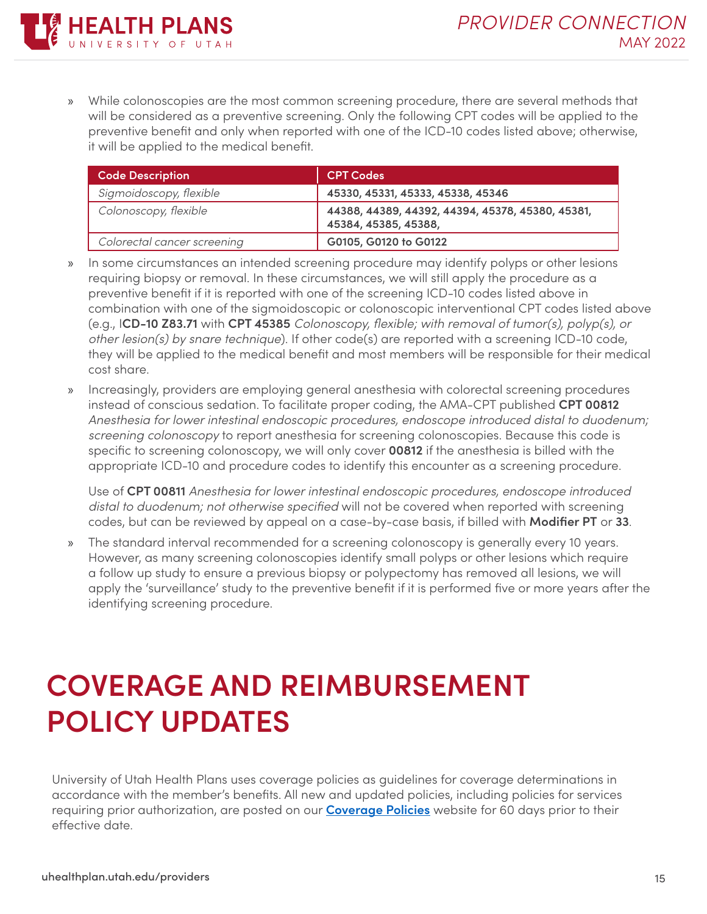» While colonoscopies are the most common screening procedure, there are several methods that will be considered as a preventive screening. Only the following CPT codes will be applied to the preventive benefit and only when reported with one of the ICD-10 codes listed above; otherwise, it will be applied to the medical benefit.

| <b>Code Description</b>     | <b>CPT Codes</b>                                                         |
|-----------------------------|--------------------------------------------------------------------------|
| Sigmoidoscopy, flexible     | 45330, 45331, 45333, 45338, 45346                                        |
| Colonoscopy, flexible       | 44388, 44389, 44392, 44394, 45378, 45380, 45381,<br>45384, 45385, 45388, |
| Colorectal cancer screening | G0105, G0120 to G0122                                                    |

- » In some circumstances an intended screening procedure may identify polyps or other lesions requiring biopsy or removal. In these circumstances, we will still apply the procedure as a preventive benefit if it is reported with one of the screening ICD-10 codes listed above in combination with one of the sigmoidoscopic or colonoscopic interventional CPT codes listed above (e.g., I**CD-10 Z83.71** with **CPT 45385** *Colonoscopy, flexible; with removal of tumor(s), polyp(s), or other lesion(s) by snare technique*). If other code(s) are reported with a screening ICD-10 code, they will be applied to the medical benefit and most members will be responsible for their medical cost share.
- » Increasingly, providers are employing general anesthesia with colorectal screening procedures instead of conscious sedation. To facilitate proper coding, the AMA-CPT published **CPT 00812** *Anesthesia for lower intestinal endoscopic procedures, endoscope introduced distal to duodenum; screening colonoscopy* to report anesthesia for screening colonoscopies. Because this code is specific to screening colonoscopy, we will only cover **00812** if the anesthesia is billed with the appropriate ICD-10 and procedure codes to identify this encounter as a screening procedure.

Use of **CPT 00811** *Anesthesia for lower intestinal endoscopic procedures, endoscope introduced distal to duodenum; not otherwise specified* will not be covered when reported with screening codes, but can be reviewed by appeal on a case-by-case basis, if billed with **Modifier PT** or **33**.

» The standard interval recommended for a screening colonoscopy is generally every 10 years. However, as many screening colonoscopies identify small polyps or other lesions which require a follow up study to ensure a previous biopsy or polypectomy has removed all lesions, we will apply the 'surveillance' study to the preventive benefit if it is performed five or more years after the identifying screening procedure.

## <span id="page-14-0"></span>**COVERAGE AND REIMBURSEMENT POLICY UPDATES**

University of Utah Health Plans uses coverage policies as guidelines for coverage determinations in accordance with the member's benefits. All new and updated policies, including policies for services requiring prior authorization, are posted on our **[Coverage Policies](https://uhealthplan.utah.edu/medicalpolicy/)** website for 60 days prior to their effective date.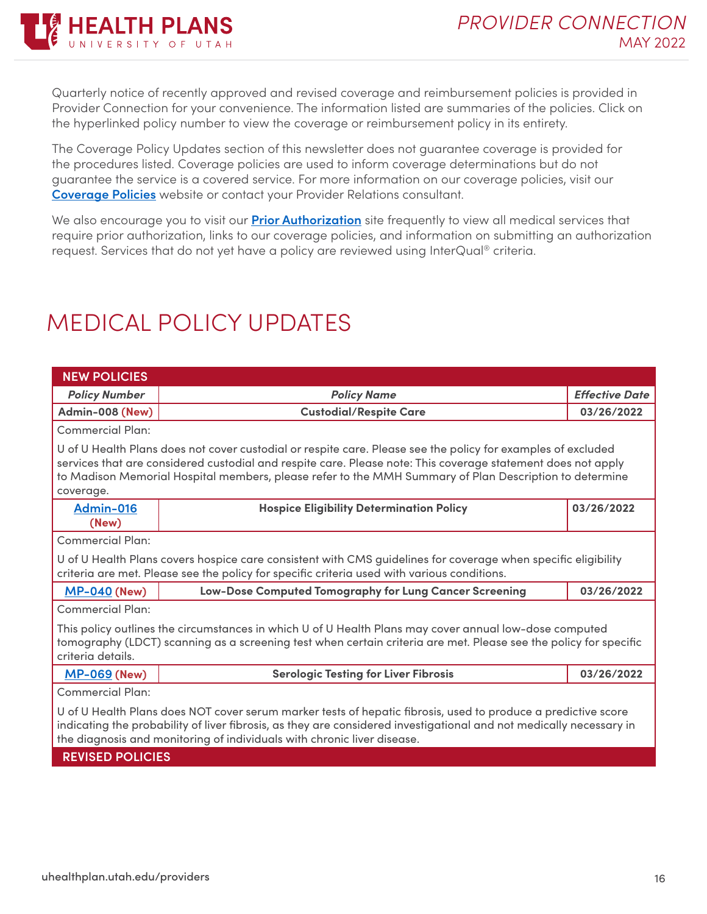

Quarterly notice of recently approved and revised coverage and reimbursement policies is provided in Provider Connection for your convenience. The information listed are summaries of the policies. Click on the hyperlinked policy number to view the coverage or reimbursement policy in its entirety.

The Coverage Policy Updates section of this newsletter does not guarantee coverage is provided for the procedures listed. Coverage policies are used to inform coverage determinations but do not guarantee the service is a covered service. For more information on our coverage policies, visit our **[Coverage Policies](https://uhealthplan.utah.edu/medicalpolicy/)** website or contact your Provider Relations consultant.

We also encourage you to visit our **[Prior Authorization](https://uhealthplan.utah.edu/for-providers/prior-authorization.php)** site frequently to view all medical services that require prior authorization, links to our coverage policies, and information on submitting an authorization request. Services that do not yet have a policy are reviewed using InterQual® criteria.

## <span id="page-15-0"></span>MEDICAL POLICY UPDATES

| <b>NEW POLICIES</b>                                                                                                                                                                                                                                                                                                                                 |                                                                                                                                                                                                              |                       |  |  |
|-----------------------------------------------------------------------------------------------------------------------------------------------------------------------------------------------------------------------------------------------------------------------------------------------------------------------------------------------------|--------------------------------------------------------------------------------------------------------------------------------------------------------------------------------------------------------------|-----------------------|--|--|
| <b>Policy Number</b>                                                                                                                                                                                                                                                                                                                                | <b>Policy Name</b>                                                                                                                                                                                           | <b>Effective Date</b> |  |  |
| Admin-008 (New)                                                                                                                                                                                                                                                                                                                                     | <b>Custodial/Respite Care</b>                                                                                                                                                                                |                       |  |  |
| Commercial Plan:                                                                                                                                                                                                                                                                                                                                    |                                                                                                                                                                                                              |                       |  |  |
| U of U Health Plans does not cover custodial or respite care. Please see the policy for examples of excluded<br>services that are considered custodial and respite care. Please note: This coverage statement does not apply<br>to Madison Memorial Hospital members, please refer to the MMH Summary of Plan Description to determine<br>coverage. |                                                                                                                                                                                                              |                       |  |  |
| Admin-016<br>(New)                                                                                                                                                                                                                                                                                                                                  | <b>Hospice Eligibility Determination Policy</b>                                                                                                                                                              | 03/26/2022            |  |  |
| <b>Commercial Plan:</b>                                                                                                                                                                                                                                                                                                                             |                                                                                                                                                                                                              |                       |  |  |
|                                                                                                                                                                                                                                                                                                                                                     | U of U Health Plans covers hospice care consistent with CMS guidelines for coverage when specific eligibility<br>criteria are met. Please see the policy for specific criteria used with various conditions. |                       |  |  |
| <b>MP-040 (New)</b>                                                                                                                                                                                                                                                                                                                                 | Low-Dose Computed Tomography for Lung Cancer Screening<br>03/26/2022                                                                                                                                         |                       |  |  |
| <b>Commercial Plan:</b>                                                                                                                                                                                                                                                                                                                             |                                                                                                                                                                                                              |                       |  |  |
| This policy outlines the circumstances in which U of U Health Plans may cover annual low-dose computed<br>tomography (LDCT) scanning as a screening test when certain criteria are met. Please see the policy for specific<br>criteria details.                                                                                                     |                                                                                                                                                                                                              |                       |  |  |
| <b>MP-069 (New)</b>                                                                                                                                                                                                                                                                                                                                 | <b>Serologic Testing for Liver Fibrosis</b>                                                                                                                                                                  | 03/26/2022            |  |  |
| <b>Commercial Plan:</b>                                                                                                                                                                                                                                                                                                                             |                                                                                                                                                                                                              |                       |  |  |
| U of U Health Plans does NOT cover serum marker tests of hepatic fibrosis, used to produce a predictive score<br>indicating the probability of liver fibrosis, as they are considered investigational and not medically necessary in<br>the diagnosis and monitoring of individuals with chronic liver disease.                                     |                                                                                                                                                                                                              |                       |  |  |
| <b>REVISED POLICIES</b>                                                                                                                                                                                                                                                                                                                             |                                                                                                                                                                                                              |                       |  |  |